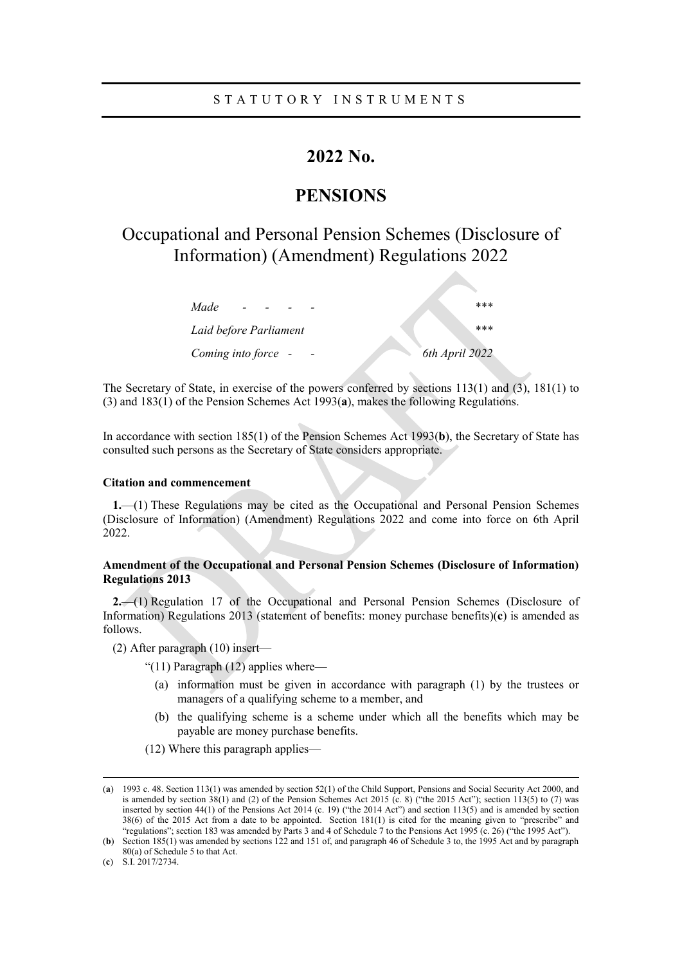# **2022 No.**

# **PENSIONS**

# Occupational and Personal Pension Schemes (Disclosure of Information) (Amendment) Regulations 2022

| Made                   | ***            |
|------------------------|----------------|
| Laid before Parliament | ***            |
| Coming into force -    | 6th April 2022 |

The Secretary of State, in exercise of the powers conferred by sections 113(1) and (3), 181(1) to (3) and 183(1) of the Pension Schemes Act 1993(**a**), makes the following Regulations.

In accordance with section 185(1) of the Pension Schemes Act 1993(**b**), the Secretary of State has consulted such persons as the Secretary of State considers appropriate.

## **Citation and commencement**

**1.**—(1) These Regulations may be cited as the Occupational and Personal Pension Schemes (Disclosure of Information) (Amendment) Regulations 2022 and come into force on 6th April 2022.

## **Amendment of the Occupational and Personal Pension Schemes (Disclosure of Information) Regulations 2013**

**2.**—(1) Regulation 17 of the Occupational and Personal Pension Schemes (Disclosure of Information) Regulations 2013 (statement of benefits: money purchase benefits)(**c**) is amended as follows.

(2) After paragraph (10) insert—

"(11) Paragraph (12) applies where—

- (a) information must be given in accordance with paragraph (1) by the trustees or managers of a qualifying scheme to a member, and
- (b) the qualifying scheme is a scheme under which all the benefits which may be payable are money purchase benefits.
- (12) Where this paragraph applies—

 $\overline{a}$ 

<sup>(</sup>**a**) 1993 c. 48. Section 113(1) was amended by section 52(1) of the Child Support, Pensions and Social Security Act 2000, and is amended by section 38(1) and (2) of the Pension Schemes Act 2015 (c. 8) ("the 2015 Act"); section 113(5) to (7) was inserted by section 44(1) of the Pensions Act 2014 (c. 19) ("the 2014 Act") and section 113(5) and is amended by section 38(6) of the 2015 Act from a date to be appointed. Section 181(1) is cited for the meaning given to "prescribe" and "regulations"; section 183 was amended by Parts 3 and 4 of Schedule 7 to the Pensions Act 1995 (c. 26) ("the 1995 Act").

<sup>(</sup>**b**) Section 185(1) was amended by sections 122 and 151 of, and paragraph 46 of Schedule 3 to, the 1995 Act and by paragraph 80(a) of Schedule 5 to that Act.

<sup>(</sup>**c**) S.I. 2017/2734.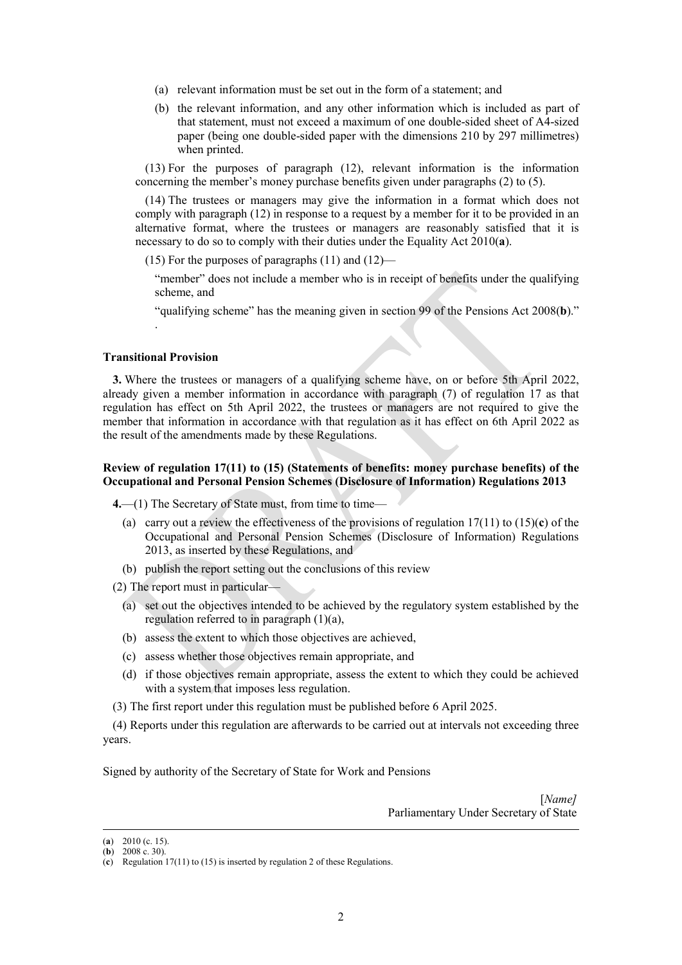- (a) relevant information must be set out in the form of a statement; and
- (b) the relevant information, and any other information which is included as part of that statement, must not exceed a maximum of one double-sided sheet of A4-sized paper (being one double-sided paper with the dimensions 210 by 297 millimetres) when printed.

(13) For the purposes of paragraph (12), relevant information is the information concerning the member's money purchase benefits given under paragraphs (2) to (5).

(14) The trustees or managers may give the information in a format which does not comply with paragraph (12) in response to a request by a member for it to be provided in an alternative format, where the trustees or managers are reasonably satisfied that it is necessary to do so to comply with their duties under the Equality Act 2010(**a**).

(15) For the purposes of paragraphs  $(11)$  and  $(12)$ —

"member" does not include a member who is in receipt of benefits under the qualifying scheme, and

"qualifying scheme" has the meaning given in section 99 of the Pensions Act 2008(**b**)."

#### **Transitional Provision**

.

**3.** Where the trustees or managers of a qualifying scheme have, on or before 5th April 2022, already given a member information in accordance with paragraph (7) of regulation 17 as that regulation has effect on 5th April 2022, the trustees or managers are not required to give the member that information in accordance with that regulation as it has effect on 6th April 2022 as the result of the amendments made by these Regulations.

### **Review of regulation 17(11) to (15) (Statements of benefits: money purchase benefits) of the Occupational and Personal Pension Schemes (Disclosure of Information) Regulations 2013**

**4.**—(1) The Secretary of State must, from time to time—

- (a) carry out a review the effectiveness of the provisions of regulation 17(11) to (15)(**c**) of the Occupational and Personal Pension Schemes (Disclosure of Information) Regulations 2013, as inserted by these Regulations, and
- (b) publish the report setting out the conclusions of this review

(2) The report must in particular—

- (a) set out the objectives intended to be achieved by the regulatory system established by the regulation referred to in paragraph (1)(a),
- (b) assess the extent to which those objectives are achieved,
- (c) assess whether those objectives remain appropriate, and
- (d) if those objectives remain appropriate, assess the extent to which they could be achieved with a system that imposes less regulation.
- (3) The first report under this regulation must be published before 6 April 2025.

(4) Reports under this regulation are afterwards to be carried out at intervals not exceeding three years.

Signed by authority of the Secretary of State for Work and Pensions

[*Name]* Parliamentary Under Secretary of State

 $\overline{a}$ 

<sup>(</sup>**a**) 2010 (c. 15).

<sup>(</sup>**b**) 2008 c. 30).

<sup>(</sup>**c**) Regulation 17(11) to (15) is inserted by regulation 2 of these Regulations.